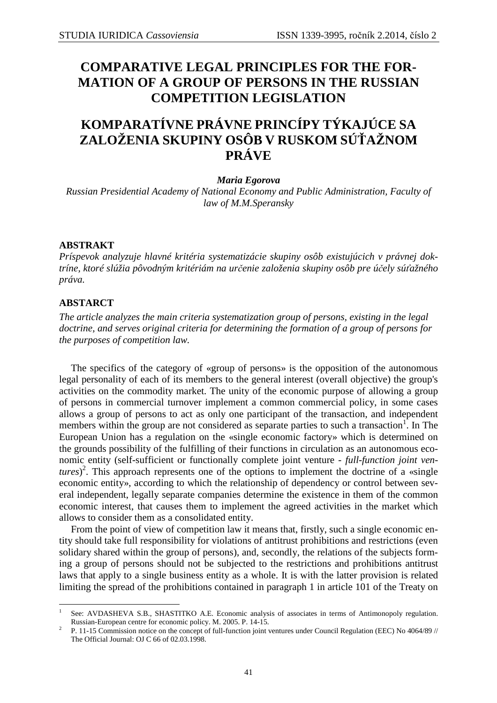## **COMPARATIVE LEGAL PRINCIPLES FOR THE FOR-MATION OF A GROUP OF PERSONS IN THE RUSSIAN COMPETITION LEGISLATION**

# **KOMPARATÍVNE PRÁVNE PRINCÍPY TÝKAJÚCE SA ZALOŽENIA SKUPINY OSÔB V RUSKOM SÚŤAŽNOM PRÁVE**

*Maria Egorova* 

*Russian Presidential Academy of National Economy and Public Administration, Faculty of law of M.M.Speransky* 

## **ABSTRAKT**

*Príspevok analyzuje hlavné kritéria systematizácie skupiny osôb existujúcich v právnej doktríne, ktoré slúžia pôvodným kritériám na určenie založenia skupiny osôb pre účely súťažného práva.* 

### **ABSTARCT**

*The article analyzes the main criteria systematization group of persons, existing in the legal doctrine, and serves original criteria for determining the formation of a group of persons for the purposes of competition law.*

The specifics of the category of «group of persons» is the opposition of the autonomous legal personality of each of its members to the general interest (overall objective) the group's activities on the commodity market. The unity of the economic purpose of allowing a group of persons in commercial turnover implement a common commercial policy, in some cases allows a group of persons to act as only one participant of the transaction, and independent members within the group are not considered as separate parties to such a transaction<sup>1</sup>. In The European Union has a regulation on the «single economic factory» which is determined on the grounds possibility of the fulfilling of their functions in circulation as an autonomous economic entity (self-sufficient or functionally complete joint venture - *full-function joint ventures*) 2 . This approach represents one of the options to implement the doctrine of a «single economic entity», according to which the relationship of dependency or control between several independent, legally separate companies determine the existence in them of the common economic interest, that causes them to implement the agreed activities in the market which allows to consider them as a consolidated entity.

From the point of view of competition law it means that, firstly, such a single economic entity should take full responsibility for violations of antitrust prohibitions and restrictions (even solidary shared within the group of persons), and, secondly, the relations of the subjects forming a group of persons should not be subjected to the restrictions and prohibitions antitrust laws that apply to a single business entity as a whole. It is with the latter provision is related limiting the spread of the prohibitions contained in paragraph 1 in article 101 of the Treaty on

 $\overline{a}$ 1 See: AVDASHEVA S.B., SHASTITKO A.E. Economic analysis of associates in terms of Antimonopoly regulation. Russian-European centre for economic policy. M. 2005. P. 14-15.

<sup>2</sup> P. 11-15 Commission notice on the concept of full-function joint ventures under Council Regulation (EEC) No 4064/89 // The Official Journal: OJ C 66 of 02.03.1998.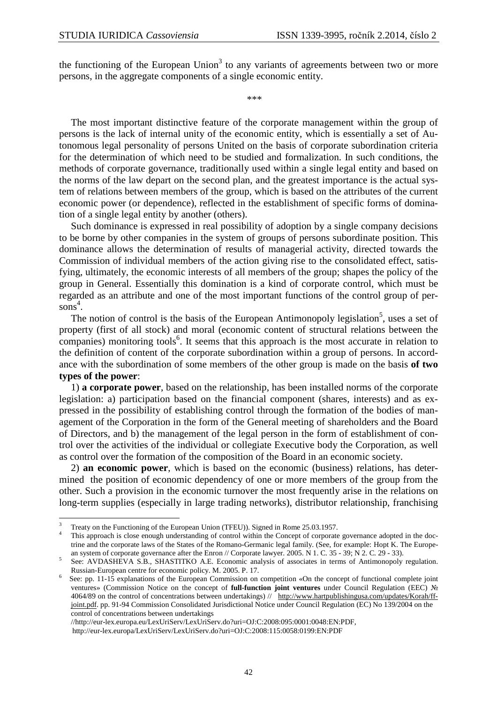the functioning of the European Union<sup>3</sup> to any variants of agreements between two or more persons, in the aggregate components of a single economic entity.

\*\*\*

The most important distinctive feature of the corporate management within the group of persons is the lack of internal unity of the economic entity, which is essentially a set of Autonomous legal personality of persons United on the basis of corporate subordination criteria for the determination of which need to be studied and formalization. In such conditions, the methods of corporate governance, traditionally used within a single legal entity and based on the norms of the law depart on the second plan, and the greatest importance is the actual system of relations between members of the group, which is based on the attributes of the current economic power (or dependence), reflected in the establishment of specific forms of domination of a single legal entity by another (others).

Such dominance is expressed in real possibility of adoption by a single company decisions to be borne by other companies in the system of groups of persons subordinate position. This dominance allows the determination of results of managerial activity, directed towards the Commission of individual members of the action giving rise to the consolidated effect, satisfying, ultimately, the economic interests of all members of the group; shapes the policy of the group in General. Essentially this domination is a kind of corporate control, which must be regarded as an attribute and one of the most important functions of the control group of per $sons<sup>4</sup>$ .

The notion of control is the basis of the European Antimonopoly legislation<sup>5</sup>, uses a set of property (first of all stock) and moral (economic content of structural relations between the companies) monitoring tools<sup>6</sup>. It seems that this approach is the most accurate in relation to the definition of content of the corporate subordination within a group of persons. In accordance with the subordination of some members of the other group is made on the basis **of two types of the power**:

1) **a corporate power**, based on the relationship, has been installed norms of the corporate legislation: a) participation based on the financial component (shares, interests) and as expressed in the possibility of establishing control through the formation of the bodies of management of the Corporation in the form of the General meeting of shareholders and the Board of Directors, and b) the management of the legal person in the form of establishment of control over the activities of the individual or collegiate Executive body the Corporation, as well as control over the formation of the composition of the Board in an economic society.

2) **an economic power**, which is based on the economic (business) relations, has determined the position of economic dependency of one or more members of the group from the other. Such a provision in the economic turnover the most frequently arise in the relations on long-term supplies (especially in large trading networks), distributor relationship, franchising

 $\overline{a}$ 

//http://eur-lex.europa.eu/LexUriServ/LexUriServ.do?uri=OJ:C:2008:095:0001:0048:EN:PDF,

http://eur-lex.europa/LexUriServ/LexUriServ.do?uri=OJ:C:2008:115:0058:0199:EN:PDF

<sup>3</sup> Treaty on the Functioning of the European Union (TFEU)). Signed in Rome 25.03.1957.

<sup>4</sup> This approach is close enough understanding of control within the Concept of corporate governance adopted in the doctrine and the corporate laws of the States of the Romano-Germanic legal family. (See, for example: Hopt K. The European system of corporate governance after the Enron // Corporate lawyer. 2005. N 1. C. 35 - 39; N 2. C. 29 - 33).

<sup>5</sup> See: AVDASHEVA S.B., SHASTITKO A.E. Economic analysis of associates in terms of Antimonopoly regulation. Russian-European centre for economic policy. M. 2005. P. 17.

<sup>6</sup> See: pp. 11-15 explanations of the European Commission on competition «On the concept of functional complete joint ventures» (Commission Notice on the concept of **full-function joint ventures** under Council Regulation (EEC) № 4064/89 on the control of concentrations between undertakings) // http://www.hartpublishingusa.com/updates/Korah/ffjoint.pdf. pp. 91-94 Commission Consolidated Jurisdictional Notice under Council Regulation (EC) No 139/2004 on the control of concentrations between undertakings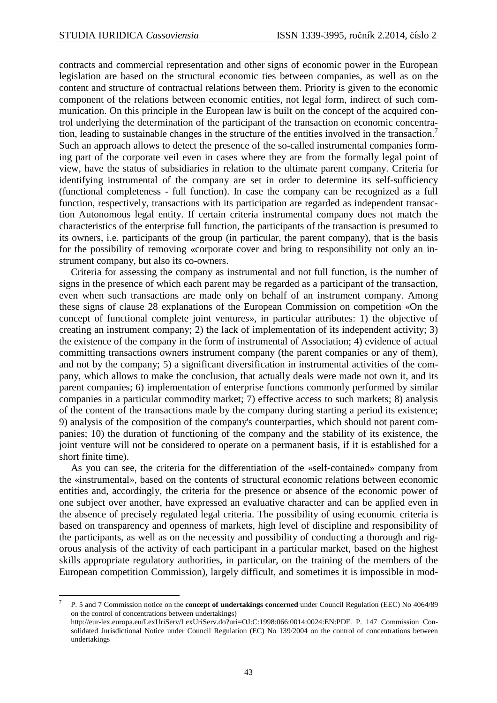contracts and commercial representation and other signs of economic power in the European legislation are based on the structural economic ties between companies, as well as on the content and structure of contractual relations between them. Priority is given to the economic component of the relations between economic entities, not legal form, indirect of such communication. On this principle in the European law is built on the concept of the acquired control underlying the determination of the participant of the transaction on economic concentration, leading to sustainable changes in the structure of the entities involved in the transaction.<sup>7</sup> Such an approach allows to detect the presence of the so-called instrumental companies forming part of the corporate veil even in cases where they are from the formally legal point of view, have the status of subsidiaries in relation to the ultimate parent company. Criteria for identifying instrumental of the company are set in order to determine its self-sufficiency (functional completeness - full function). In case the company can be recognized as a full function, respectively, transactions with its participation are regarded as independent transaction Autonomous legal entity. If certain criteria instrumental company does not match the characteristics of the enterprise full function, the participants of the transaction is presumed to its owners, i.e. participants of the group (in particular, the parent company), that is the basis for the possibility of removing «corporate cover and bring to responsibility not only an instrument company, but also its co-owners.

Criteria for assessing the company as instrumental and not full function, is the number of signs in the presence of which each parent may be regarded as a participant of the transaction, even when such transactions are made only on behalf of an instrument company. Among these signs of clause 28 explanations of the European Commission on competition «On the concept of functional complete joint ventures», in particular attributes: 1) the objective of creating an instrument company; 2) the lack of implementation of its independent activity; 3) the existence of the company in the form of instrumental of Association; 4) evidence of actual committing transactions owners instrument company (the parent companies or any of them), and not by the company; 5) a significant diversification in instrumental activities of the company, which allows to make the conclusion, that actually deals were made not own it, and its parent companies; 6) implementation of enterprise functions commonly performed by similar companies in a particular commodity market; 7) effective access to such markets; 8) analysis of the content of the transactions made by the company during starting a period its existence; 9) analysis of the composition of the company's counterparties, which should not parent companies; 10) the duration of functioning of the company and the stability of its existence, the joint venture will not be considered to operate on a permanent basis, if it is established for a short finite time).

As you can see, the criteria for the differentiation of the «self-contained» company from the «instrumental», based on the contents of structural economic relations between economic entities and, accordingly, the criteria for the presence or absence of the economic power of one subject over another, have expressed an evaluative character and can be applied even in the absence of precisely regulated legal criteria. The possibility of using economic criteria is based on transparency and openness of markets, high level of discipline and responsibility of the participants, as well as on the necessity and possibility of conducting a thorough and rigorous analysis of the activity of each participant in a particular market, based on the highest skills appropriate regulatory authorities, in particular, on the training of the members of the European competition Commission), largely difficult, and sometimes it is impossible in mod-

 $\overline{a}$ 7 P. 5 and 7 Commission notice on the **concept of undertakings concerned** under Council Regulation (EEC) No 4064/89 on the control of concentrations between undertakings)

http://eur-lex.europa.eu/LexUriServ/LexUriServ.do?uri=OJ:C:1998:066:0014:0024:EN:PDF. P. 147 Commission Consolidated Jurisdictional Notice under Council Regulation (EC) No 139/2004 on the control of concentrations between undertakings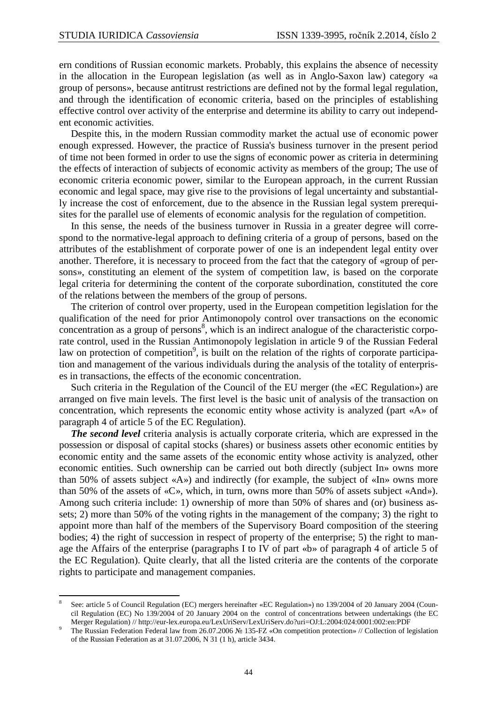$\overline{a}$ 

ern conditions of Russian economic markets. Probably, this explains the absence of necessity in the allocation in the European legislation (as well as in Anglo-Saxon law) category «a group of persons», because antitrust restrictions are defined not by the formal legal regulation, and through the identification of economic criteria, based on the principles of establishing effective control over activity of the enterprise and determine its ability to carry out independent economic activities.

Despite this, in the modern Russian commodity market the actual use of economic power enough expressed. However, the practice of Russia's business turnover in the present period of time not been formed in order to use the signs of economic power as criteria in determining the effects of interaction of subjects of economic activity as members of the group; The use of economic criteria economic power, similar to the European approach, in the current Russian economic and legal space, may give rise to the provisions of legal uncertainty and substantially increase the cost of enforcement, due to the absence in the Russian legal system prerequisites for the parallel use of elements of economic analysis for the regulation of competition.

In this sense, the needs of the business turnover in Russia in a greater degree will correspond to the normative-legal approach to defining criteria of a group of persons, based on the attributes of the establishment of corporate power of one is an independent legal entity over another. Therefore, it is necessary to proceed from the fact that the category of «group of persons», constituting an element of the system of competition law, is based on the corporate legal criteria for determining the content of the corporate subordination, constituted the core of the relations between the members of the group of persons.

The criterion of control over property, used in the European competition legislation for the qualification of the need for prior Antimonopoly control over transactions on the economic concentration as a group of persons<sup>8</sup>, which is an indirect analogue of the characteristic corporate control, used in the Russian Antimonopoly legislation in article 9 of the Russian Federal law on protection of competition<sup>9</sup>, is built on the relation of the rights of corporate participation and management of the various individuals during the analysis of the totality of enterprises in transactions, the effects of the economic concentration.

Such criteria in the Regulation of the Council of the EU merger (the «EC Regulation») are arranged on five main levels. The first level is the basic unit of analysis of the transaction on concentration, which represents the economic entity whose activity is analyzed (part «A» of paragraph 4 of article 5 of the EC Regulation).

*The second level* criteria analysis is actually corporate criteria, which are expressed in the possession or disposal of capital stocks (shares) or business assets other economic entities by economic entity and the same assets of the economic entity whose activity is analyzed, other economic entities. Such ownership can be carried out both directly (subject In» owns more than 50% of assets subject «A») and indirectly (for example, the subject of «In» owns more than 50% of the assets of «C», which, in turn, owns more than 50% of assets subject «And»). Among such criteria include: 1) ownership of more than 50% of shares and (or) business assets; 2) more than 50% of the voting rights in the management of the company; 3) the right to appoint more than half of the members of the Supervisory Board composition of the steering bodies; 4) the right of succession in respect of property of the enterprise; 5) the right to manage the Affairs of the enterprise (paragraphs I to IV of part «b» of paragraph 4 of article 5 of the EC Regulation). Quite clearly, that all the listed criteria are the contents of the corporate rights to participate and management companies.

<sup>8</sup> See: article 5 of Council Regulation (EC) mergers hereinafter «EC Regulation») no 139/2004 of 20 January 2004 (Council Regulation (EC) No 139/2004 of 20 January 2004 on the control of concentrations between undertakings (the EC Merger Regulation) // http://eur-lex.europa.eu/LexUriServ/LexUriServ.do?uri=OJ:L:2004:024:0001:002:en:PDF

<sup>9</sup> The Russian Federation Federal law from 26.07.2006 № 135-FZ «On competition protection» // Collection of legislation of the Russian Federation as at 31.07.2006, N 31 (1 h), article 3434.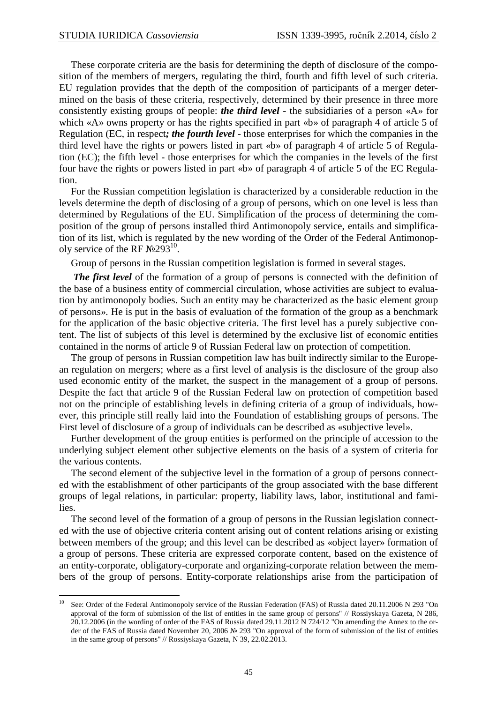These corporate criteria are the basis for determining the depth of disclosure of the composition of the members of mergers, regulating the third, fourth and fifth level of such criteria. EU regulation provides that the depth of the composition of participants of a merger determined on the basis of these criteria, respectively, determined by their presence in three more consistently existing groups of people: *the third level* - the subsidiaries of a person «A» for which «A» owns property or has the rights specified in part «b» of paragraph 4 of article 5 of Regulation (EC, in respect*; the fourth level* - those enterprises for which the companies in the third level have the rights or powers listed in part «b» of paragraph 4 of article 5 of Regulation (EC); the fifth level - those enterprises for which the companies in the levels of the first four have the rights or powers listed in part «b» of paragraph 4 of article 5 of the EC Regulation.

For the Russian competition legislation is characterized by a considerable reduction in the levels determine the depth of disclosing of a group of persons, which on one level is less than determined by Regulations of the EU. Simplification of the process of determining the composition of the group of persons installed third Antimonopoly service, entails and simplification of its list, which is regulated by the new wording of the Order of the Federal Antimonopoly service of the RF  $N\simeq 293^{10}$ .

Group of persons in the Russian competition legislation is formed in several stages.

*The first level* of the formation of a group of persons is connected with the definition of the base of a business entity of commercial circulation, whose activities are subject to evaluation by antimonopoly bodies. Such an entity may be characterized as the basic element group of persons». He is put in the basis of evaluation of the formation of the group as a benchmark for the application of the basic objective criteria. The first level has a purely subjective content. The list of subjects of this level is determined by the exclusive list of economic entities contained in the norms of article 9 of Russian Federal law on protection of competition.

The group of persons in Russian competition law has built indirectly similar to the European regulation on mergers; where as a first level of analysis is the disclosure of the group also used economic entity of the market, the suspect in the management of a group of persons. Despite the fact that article 9 of the Russian Federal law on protection of competition based not on the principle of establishing levels in defining criteria of a group of individuals, however, this principle still really laid into the Foundation of establishing groups of persons. The First level of disclosure of a group of individuals can be described as «subjective level».

Further development of the group entities is performed on the principle of accession to the underlying subject element other subjective elements on the basis of a system of criteria for the various contents.

The second element of the subjective level in the formation of a group of persons connected with the establishment of other participants of the group associated with the base different groups of legal relations, in particular: property, liability laws, labor, institutional and families.

The second level of the formation of a group of persons in the Russian legislation connected with the use of objective criteria content arising out of content relations arising or existing between members of the group; and this level can be described as «object layer» formation of a group of persons. These criteria are expressed corporate content, based on the existence of an entity-corporate, obligatory-corporate and organizing-corporate relation between the members of the group of persons. Entity-corporate relationships arise from the participation of

 $10<sup>10</sup>$ See: Order of the Federal Antimonopoly service of the Russian Federation (FAS) of Russia dated 20.11.2006 N 293 "On approval of the form of submission of the list of entities in the same group of persons" // Rossiyskaya Gazeta, N 286, 20.12.2006 (in the wording of order of the FAS of Russia dated 29.11.2012 N 724/12 "On amending the Annex to the order of the FAS of Russia dated November 20, 2006 № 293 "On approval of the form of submission of the list of entities in the same group of persons" // Rossiyskaya Gazeta, N 39, 22.02.2013.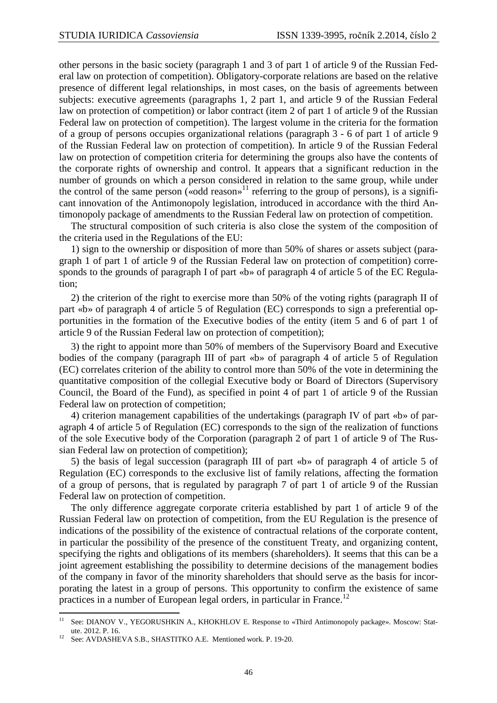other persons in the basic society (paragraph 1 and 3 of part 1 of article 9 of the Russian Federal law on protection of competition). Obligatory-corporate relations are based on the relative presence of different legal relationships, in most cases, on the basis of agreements between subjects: executive agreements (paragraphs 1, 2 part 1, and article 9 of the Russian Federal law on protection of competition) or labor contract (item 2 of part 1 of article 9 of the Russian Federal law on protection of competition). The largest volume in the criteria for the formation of a group of persons occupies organizational relations (paragraph 3 - 6 of part 1 of article 9 of the Russian Federal law on protection of competition). In article 9 of the Russian Federal law on protection of competition criteria for determining the groups also have the contents of the corporate rights of ownership and control. It appears that a significant reduction in the number of grounds on which a person considered in relation to the same group, while under the control of the same person («odd reason»<sup>11</sup> referring to the group of persons), is a significant innovation of the Antimonopoly legislation, introduced in accordance with the third Antimonopoly package of amendments to the Russian Federal law on protection of competition.

The structural composition of such criteria is also close the system of the composition of the criteria used in the Regulations of the EU:

1) sign to the ownership or disposition of more than 50% of shares or assets subject (paragraph 1 of part 1 of article 9 of the Russian Federal law on protection of competition) corresponds to the grounds of paragraph I of part «b» of paragraph 4 of article 5 of the EC Regulation;

2) the criterion of the right to exercise more than 50% of the voting rights (paragraph II of part «b» of paragraph 4 of article 5 of Regulation (EC) corresponds to sign a preferential opportunities in the formation of the Executive bodies of the entity (item 5 and 6 of part 1 of article 9 of the Russian Federal law on protection of competition);

3) the right to appoint more than 50% of members of the Supervisory Board and Executive bodies of the company (paragraph III of part «b» of paragraph 4 of article 5 of Regulation (EC) correlates criterion of the ability to control more than 50% of the vote in determining the quantitative composition of the collegial Executive body or Board of Directors (Supervisory Council, the Board of the Fund), as specified in point 4 of part 1 of article 9 of the Russian Federal law on protection of competition;

4) criterion management capabilities of the undertakings (paragraph IV of part «b» of paragraph 4 of article 5 of Regulation (EC) corresponds to the sign of the realization of functions of the sole Executive body of the Corporation (paragraph 2 of part 1 of article 9 of The Russian Federal law on protection of competition);

5) the basis of legal succession (paragraph III of part «b» of paragraph 4 of article 5 of Regulation (EC) corresponds to the exclusive list of family relations, affecting the formation of a group of persons, that is regulated by paragraph 7 of part 1 of article 9 of the Russian Federal law on protection of competition.

The only difference aggregate corporate criteria established by part 1 of article 9 of the Russian Federal law on protection of competition, from the EU Regulation is the presence of indications of the possibility of the existence of contractual relations of the corporate content, in particular the possibility of the presence of the constituent Treaty, and organizing content, specifying the rights and obligations of its members (shareholders). It seems that this can be a joint agreement establishing the possibility to determine decisions of the management bodies of the company in favor of the minority shareholders that should serve as the basis for incorporating the latest in a group of persons. This opportunity to confirm the existence of same practices in a number of European legal orders, in particular in France.<sup>12</sup>

 $\overline{a}$ 

<sup>&</sup>lt;sup>11</sup> See: DIANOV V., YEGORUSHKIN A., KHOKHLOV E. Response to «Third Antimonopoly package». Moscow: Statute. 2012. P. 16.

See: AVDASHEVA S.B., SHASTITKO A.E. Mentioned work. P. 19-20.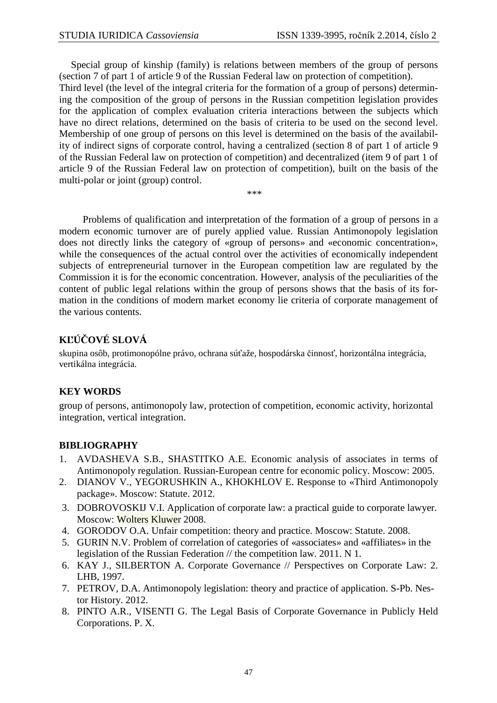Special group of kinship (family) is relations between members of the group of persons (section 7 of part 1 of article 9 of the Russian Federal law on protection of competition).

Third level (the level of the integral criteria for the formation of a group of persons) determining the composition of the group of persons in the Russian competition legislation provides for the application of complex evaluation criteria interactions between the subjects which have no direct relations, determined on the basis of criteria to be used on the second level. Membership of one group of persons on this level is determined on the basis of the availability of indirect signs of corporate control, having a centralized (section 8 of part 1 of article 9 of the Russian Federal law on protection of competition) and decentralized (item 9 of part 1 of article 9 of the Russian Federal law on protection of competition), built on the basis of the multi-polar or joint (group) control.

\*\*\*

Problems of qualification and interpretation of the formation of a group of persons in a modern economic turnover are of purely applied value. Russian Antimonopoly legislation does not directly links the category of «group of persons» and «economic concentration», while the consequences of the actual control over the activities of economically independent subjects of entrepreneurial turnover in the European competition law are regulated by the Commission it is for the economic concentration. However, analysis of the peculiarities of the content of public legal relations within the group of persons shows that the basis of its formation in the conditions of modern market economy lie criteria of corporate management of the various contents.

## **KĽÚČOVÉ SLOVÁ**

skupina osôb, protimonopólne právo, ochrana súťaže, hospodárska činnosť, horizontálna integrácia, vertikálna integrácia.

## **KEY WORDS**

group of persons, antimonopoly law, protection of competition, economic activity, horizontal integration, vertical integration.

## **BIBLIOGRAPHY**

- 1. AVDASHEVA S.B., SHASTITKO A.E. Economic analysis of associates in terms of Antimonopoly regulation. Russian-European centre for economic policy. Moscow: 2005.
- 2. DIANOV V., YEGORUSHKIN A., KHOKHLOV E. Response to «Third Antimonopoly package». Moscow: Statute. 2012.
- 3. DOBROVOSKIJ V.I. Application of corporate law: a practical guide to corporate lawyer. Moscow: Wolters Kluwer 2008.
- 4. GORODOV O.A. Unfair competition: theory and practice. Moscow: Statute. 2008.
- 5. GURIN N.V. Problem of correlation of categories of «associates» and «affiliates» in the legislation of the Russian Federation // the competition law. 2011. N 1.
- 6. KAY J., SILBERTON A. Corporate Governance // Perspectives on Corporate Law: 2. LHB, 1997.
- 7. PETROV, D.A. Antimonopoly legislation: theory and practice of application. S-Pb. Nestor History. 2012.
- 8. PINTO A.R., VISENTI G. The Legal Basis of Corporate Governance in Publicly Held Corporations. P. X.